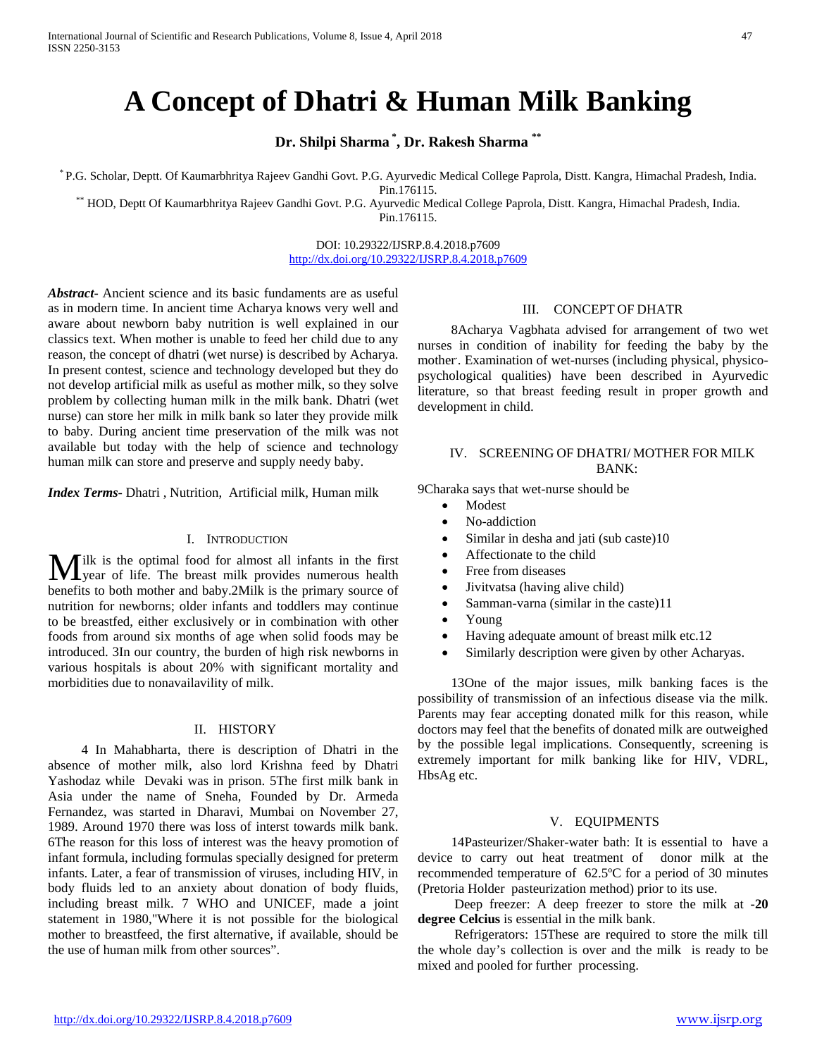# **A Concept of Dhatri & Human Milk Banking**

**Dr. Shilpi Sharma \* , Dr. Rakesh Sharma \*\***

\* P.G. Scholar, Deptt. Of Kaumarbhritya Rajeev Gandhi Govt. P.G. Ayurvedic Medical College Paprola, Distt. Kangra, Himachal Pradesh, India.

Pin.176115. \*\* HOD, Deptt Of Kaumarbhritya Rajeev Gandhi Govt. P.G. Ayurvedic Medical College Paprola, Distt. Kangra, Himachal Pradesh, India. Pin.176115.

> DOI: 10.29322/IJSRP.8.4.2018.p7609 <http://dx.doi.org/10.29322/IJSRP.8.4.2018.p7609>

*Abstract***-** Ancient science and its basic fundaments are as useful as in modern time. In ancient time Acharya knows very well and aware about newborn baby nutrition is well explained in our classics text. When mother is unable to feed her child due to any reason, the concept of dhatri (wet nurse) is described by Acharya. In present contest, science and technology developed but they do not develop artificial milk as useful as mother milk, so they solve problem by collecting human milk in the milk bank. Dhatri (wet nurse) can store her milk in milk bank so later they provide milk to baby. During ancient time preservation of the milk was not available but today with the help of science and technology human milk can store and preserve and supply needy baby.

*Index Terms*- Dhatri , Nutrition, Artificial milk, Human milk

#### I. INTRODUCTION

 $\int$ ilk is the optimal food for almost all infants in the first **M** ilk is the optimal food for almost all infants in the first year of life. The breast milk provides numerous health benefits to both mother and baby.2Milk is the primary source of nutrition for newborns; older infants and toddlers may continue to be breastfed, either exclusively or in combination with other foods from around six months of age when solid foods may be introduced. 3In our country, the burden of high risk newborns in various hospitals is about 20% with significant mortality and morbidities due to nonavailavility of milk.

#### II. HISTORY

 4 In Mahabharta, there is description of Dhatri in the absence of mother milk, also lord Krishna feed by Dhatri Yashodaz while Devaki was in prison. 5The first milk bank in Asia under the name of Sneha, Founded by Dr. Armeda Fernandez, was started in Dharavi, Mumbai on November 27, 1989. Around 1970 there was loss of interst towards milk bank. 6The reason for this loss of interest was the heavy promotion of infant formula, including formulas specially designed for preterm infants. Later, a fear of transmission of viruses, including HIV, in body fluids led to an anxiety about donation of body fluids, including breast milk. 7 WHO and UNICEF, made a joint statement in 1980,"Where it is not possible for the biological mother to breastfeed, the first alternative, if available, should be the use of human milk from other sources".

### III. CONCEPT OF DHATR

 8Acharya Vagbhata advised for arrangement of two wet nurses in condition of inability for feeding the baby by the mother. . Examination of wet-nurses (including physical, physicopsychological qualities) have been described in Ayurvedic literature, so that breast feeding result in proper growth and development in child.

## IV. SCREENING OF DHATRI/ MOTHER FOR MILK BANK:

9Charaka says that wet-nurse should be

- Modest
- No-addiction
- Similar in desha and jati (sub caste)10
- Affectionate to the child
- Free from diseases
- Jivitvatsa (having alive child)
- Samman-varna (similar in the caste)11
- Young
- Having adequate amount of breast milk etc.12
- Similarly description were given by other Acharyas.

 13One of the major issues, milk banking faces is the possibility of transmission of an infectious disease via the milk. Parents may fear accepting donated milk for this reason, while doctors may feel that the benefits of donated milk are outweighed by the possible legal implications. Consequently, screening is extremely important for milk banking like for HIV, VDRL, HbsAg etc.

# V. EQUIPMENTS

 14Pasteurizer/Shaker-water bath: It is essential to have a device to carry out heat treatment of donor milk at the recommended temperature of 62.5ºC for a period of 30 minutes (Pretoria Holder pasteurization method) prior to its use.

 Deep freezer: A deep freezer to store the milk at **-20 degree Celcius** is essential in the milk bank.

 Refrigerators: 15These are required to store the milk till the whole day's collection is over and the milk is ready to be mixed and pooled for further processing.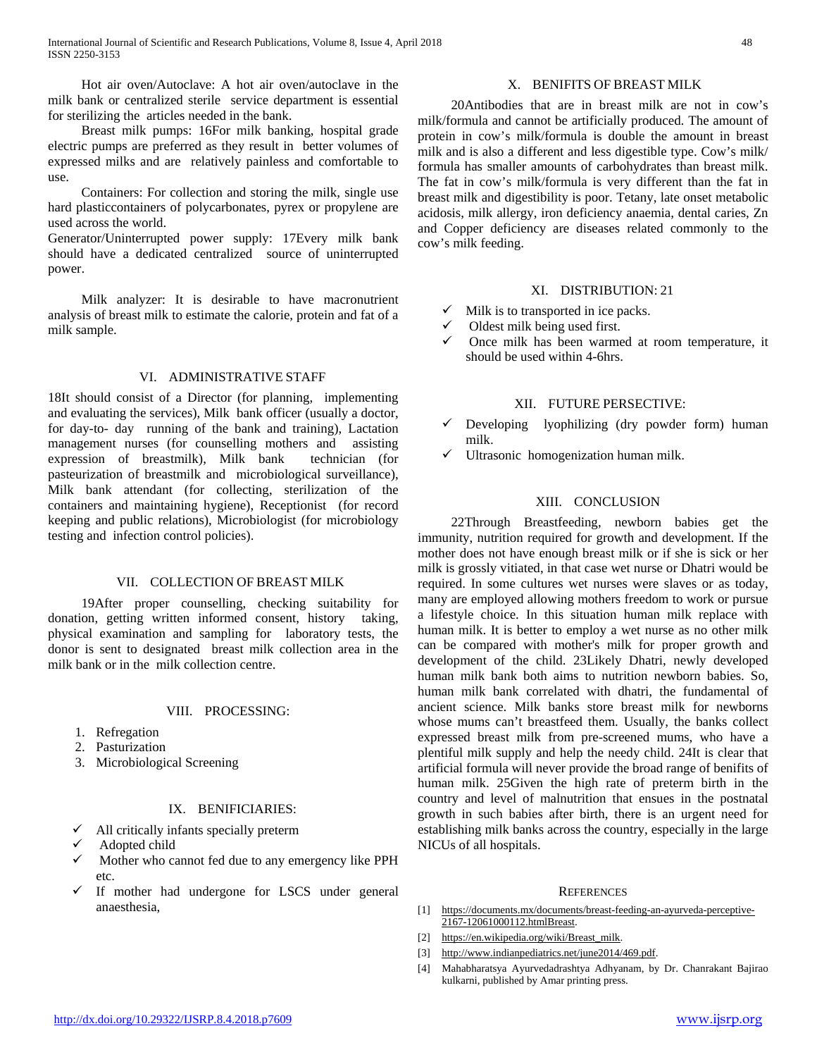Hot air oven/Autoclave: A hot air oven/autoclave in the milk bank or centralized sterile service department is essential for sterilizing the articles needed in the bank.

 Breast milk pumps: 16For milk banking, hospital grade electric pumps are preferred as they result in better volumes of expressed milks and are relatively painless and comfortable to use.

 Containers: For collection and storing the milk, single use hard plasticcontainers of polycarbonates, pyrex or propylene are used across the world.

Generator/Uninterrupted power supply: 17Every milk bank should have a dedicated centralized source of uninterrupted power.

 Milk analyzer: It is desirable to have macronutrient analysis of breast milk to estimate the calorie, protein and fat of a milk sample.

#### VI. ADMINISTRATIVE STAFF

18It should consist of a Director (for planning, implementing and evaluating the services), Milk bank officer (usually a doctor, for day-to- day running of the bank and training), Lactation management nurses (for counselling mothers and assisting expression of breastmilk), Milk bank technician (for pasteurization of breastmilk and microbiological surveillance), Milk bank attendant (for collecting, sterilization of the containers and maintaining hygiene), Receptionist (for record keeping and public relations), Microbiologist (for microbiology testing and infection control policies).

# VII. COLLECTION OF BREAST MILK

 19After proper counselling, checking suitability for donation, getting written informed consent, history taking, physical examination and sampling for laboratory tests, the donor is sent to designated breast milk collection area in the milk bank or in the milk collection centre.

#### VIII. PROCESSING:

- 1. Refregation
- 2. Pasturization
- 3. Microbiological Screening

#### IX. BENIFICIARIES:

- All critically infants specially preterm
- Adopted child
- $\checkmark$  Mother who cannot fed due to any emergency like PPH etc.
- $\checkmark$  If mother had undergone for LSCS under general anaesthesia,

#### X. BENIFITS OF BREAST MILK

 20Antibodies that are in breast milk are not in cow's milk/formula and cannot be artificially produced. The amount of protein in cow's milk/formula is double the amount in breast milk and is also a different and less digestible type. Cow's milk/ formula has smaller amounts of carbohydrates than breast milk. The fat in cow's milk/formula is very different than the fat in breast milk and digestibility is poor. Tetany, late onset metabolic acidosis, milk allergy, iron deficiency anaemia, dental caries, Zn and Copper deficiency are diseases related commonly to the cow's milk feeding.

#### XI. DISTRIBUTION: 21

- $\checkmark$  Milk is to transported in ice packs.
- $\checkmark$  Oldest milk being used first.
- $\checkmark$  Once milk has been warmed at room temperature, it should be used within 4-6hrs.

# XII. FUTURE PERSECTIVE:

- Developing lyophilizing (dry powder form) human milk.
- $\checkmark$  Ultrasonic homogenization human milk.

# XIII. CONCLUSION

 22Through Breastfeeding, newborn babies get the immunity, nutrition required for growth and development. If the mother does not have enough breast milk or if she is sick or her milk is grossly vitiated, in that case wet nurse or Dhatri would be required. In some cultures wet nurses were slaves or as today, many are employed allowing mothers freedom to work or pursue a lifestyle choice. In this situation human milk replace with human milk. It is better to employ a wet nurse as no other milk can be compared with mother's milk for proper growth and development of the child. 23Likely Dhatri, newly developed human milk bank both aims to nutrition newborn babies. So, human milk bank correlated with dhatri, the fundamental of ancient science. Milk banks store breast milk for newborns whose mums can't breastfeed them. Usually, the banks collect expressed breast milk from pre-screened mums, who have a plentiful milk supply and help the needy child. 24It is clear that artificial formula will never provide the broad range of benifits of human milk. 25Given the high rate of preterm birth in the country and level of malnutrition that ensues in the postnatal growth in such babies after birth, there is an urgent need for establishing milk banks across the country, especially in the large NICUs of all hospitals.

#### **REFERENCES**

- [1] [https://documents.mx/documents/breast-feeding-an-ayurveda-perceptive-](https://documents.mx/documents/breast-feeding-an-ayurveda-perceptive-2167-12061000112.htmlBreast)[2167-12061000112.htmlBreast.](https://documents.mx/documents/breast-feeding-an-ayurveda-perceptive-2167-12061000112.htmlBreast)
- [2] [https://en.wikipedia.org/wiki/Breast\\_milk.](https://en.wikipedia.org/wiki/Breast_milk)
- [3] [http://www.indianpediatrics.net/june2014/469.pdf.](http://www.indianpediatrics.net/june2014/469.pdf)
- [4] Mahabharatsya Ayurvedadrashtya Adhyanam, by Dr. Chanrakant Bajirao kulkarni, published by Amar printing press.